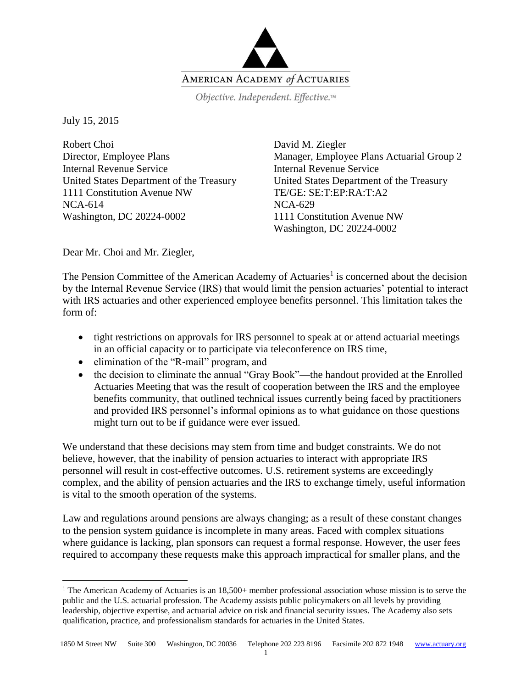

Objective. Independent. Effective.™

July 15, 2015

 $\overline{a}$ 

Robert Choi Director, Employee Plans Internal Revenue Service United States Department of the Treasury 1111 Constitution Avenue NW NCA-614 Washington, DC 20224-0002

David M. Ziegler Manager, Employee Plans Actuarial Group 2 Internal Revenue Service United States Department of the Treasury TE/GE: SE:T:EP:RA:T:A2 NCA-629 1111 Constitution Avenue NW Washington, DC 20224-0002

Dear Mr. Choi and Mr. Ziegler,

The Pension Committee of the American Academy of Actuaries<sup>1</sup> is concerned about the decision by the Internal Revenue Service (IRS) that would limit the pension actuaries' potential to interact with IRS actuaries and other experienced employee benefits personnel. This limitation takes the form of:

- tight restrictions on approvals for IRS personnel to speak at or attend actuarial meetings in an official capacity or to participate via teleconference on IRS time,
- elimination of the "R-mail" program, and
- the decision to eliminate the annual "Gray Book"—the handout provided at the Enrolled Actuaries Meeting that was the result of cooperation between the IRS and the employee benefits community, that outlined technical issues currently being faced by practitioners and provided IRS personnel's informal opinions as to what guidance on those questions might turn out to be if guidance were ever issued.

We understand that these decisions may stem from time and budget constraints. We do not believe, however, that the inability of pension actuaries to interact with appropriate IRS personnel will result in cost-effective outcomes. U.S. retirement systems are exceedingly complex, and the ability of pension actuaries and the IRS to exchange timely, useful information is vital to the smooth operation of the systems.

Law and regulations around pensions are always changing; as a result of these constant changes to the pension system guidance is incomplete in many areas. Faced with complex situations where guidance is lacking, plan sponsors can request a formal response. However, the user fees required to accompany these requests make this approach impractical for smaller plans, and the

<sup>&</sup>lt;sup>1</sup> The American Academy of Actuaries is an  $18,500+$  member professional association whose mission is to serve the public and the U.S. actuarial profession. The Academy assists public policymakers on all levels by providing leadership, objective expertise, and actuarial advice on risk and financial security issues. The Academy also sets qualification, practice, and professionalism standards for actuaries in the United States.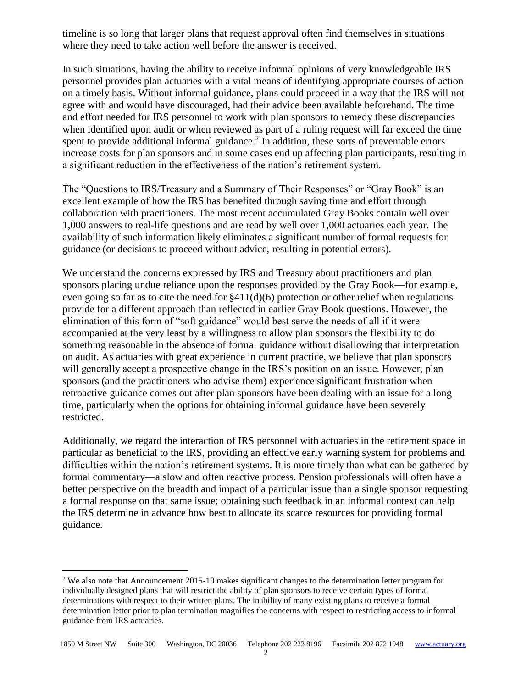timeline is so long that larger plans that request approval often find themselves in situations where they need to take action well before the answer is received.

In such situations, having the ability to receive informal opinions of very knowledgeable IRS personnel provides plan actuaries with a vital means of identifying appropriate courses of action on a timely basis. Without informal guidance, plans could proceed in a way that the IRS will not agree with and would have discouraged, had their advice been available beforehand. The time and effort needed for IRS personnel to work with plan sponsors to remedy these discrepancies when identified upon audit or when reviewed as part of a ruling request will far exceed the time spent to provide additional informal guidance.<sup>2</sup> In addition, these sorts of preventable errors increase costs for plan sponsors and in some cases end up affecting plan participants, resulting in a significant reduction in the effectiveness of the nation's retirement system.

The "Questions to IRS/Treasury and a Summary of Their Responses" or "Gray Book" is an excellent example of how the IRS has benefited through saving time and effort through collaboration with practitioners. The most recent accumulated Gray Books contain well over 1,000 answers to real-life questions and are read by well over 1,000 actuaries each year. The availability of such information likely eliminates a significant number of formal requests for guidance (or decisions to proceed without advice, resulting in potential errors).

We understand the concerns expressed by IRS and Treasury about practitioners and plan sponsors placing undue reliance upon the responses provided by the Gray Book—for example, even going so far as to cite the need for §411(d)(6) protection or other relief when regulations provide for a different approach than reflected in earlier Gray Book questions. However, the elimination of this form of "soft guidance" would best serve the needs of all if it were accompanied at the very least by a willingness to allow plan sponsors the flexibility to do something reasonable in the absence of formal guidance without disallowing that interpretation on audit. As actuaries with great experience in current practice, we believe that plan sponsors will generally accept a prospective change in the IRS's position on an issue. However, plan sponsors (and the practitioners who advise them) experience significant frustration when retroactive guidance comes out after plan sponsors have been dealing with an issue for a long time, particularly when the options for obtaining informal guidance have been severely restricted.

Additionally, we regard the interaction of IRS personnel with actuaries in the retirement space in particular as beneficial to the IRS, providing an effective early warning system for problems and difficulties within the nation's retirement systems. It is more timely than what can be gathered by formal commentary—a slow and often reactive process. Pension professionals will often have a better perspective on the breadth and impact of a particular issue than a single sponsor requesting a formal response on that same issue; obtaining such feedback in an informal context can help the IRS determine in advance how best to allocate its scarce resources for providing formal guidance.

 $\overline{a}$ 

<sup>&</sup>lt;sup>2</sup> We also note that Announcement 2015-19 makes significant changes to the determination letter program for individually designed plans that will restrict the ability of plan sponsors to receive certain types of formal determinations with respect to their written plans. The inability of many existing plans to receive a formal determination letter prior to plan termination magnifies the concerns with respect to restricting access to informal guidance from IRS actuaries.